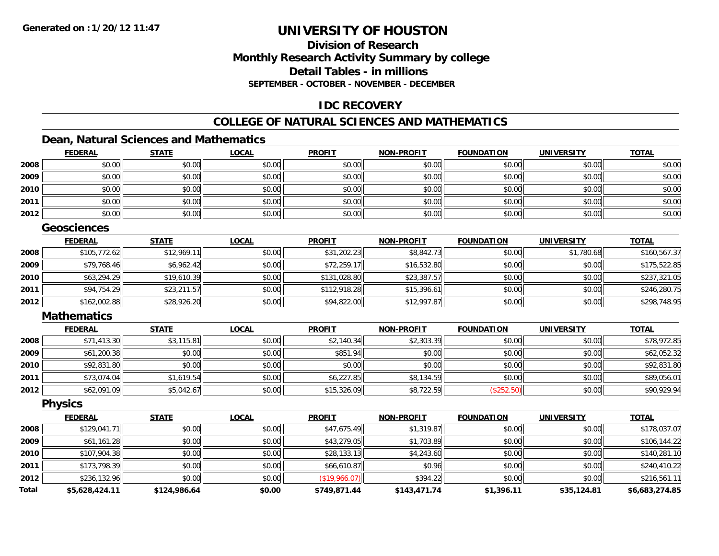## **Division of ResearchMonthly Research Activity Summary by college Detail Tables - in millionsSEPTEMBER - OCTOBER - NOVEMBER - DECEMBER**

## **IDC RECOVERY**

## **COLLEGE OF NATURAL SCIENCES AND MATHEMATICS**

## **Dean, Natural Sciences and Mathematics**

|      | <b>FEDERAL</b> | <b>STATE</b> | <b>LOCAL</b> | <b>PROFIT</b> | <b>NON-PROFIT</b> | <b>FOUNDATION</b> | <b>UNIVERSITY</b> | <b>TOTAL</b> |
|------|----------------|--------------|--------------|---------------|-------------------|-------------------|-------------------|--------------|
| 2008 | \$0.00         | \$0.00       | \$0.00       | \$0.00        | \$0.00            | \$0.00            | \$0.00            | \$0.00       |
| 2009 | \$0.00         | \$0.00       | \$0.00       | \$0.00        | \$0.00            | \$0.00            | \$0.00            | \$0.00       |
| 2010 | \$0.00         | \$0.00       | \$0.00       | \$0.00        | \$0.00            | \$0.00            | \$0.00            | \$0.00       |
| 2011 | \$0.00         | \$0.00       | \$0.00       | \$0.00        | \$0.00            | \$0.00            | \$0.00            | \$0.00       |
| 2012 | \$0.00         | \$0.00       | \$0.00       | \$0.00        | \$0.00            | \$0.00            | \$0.00            | \$0.00       |

#### **Geosciences**

|      | <b>FEDERAL</b> | <b>STATE</b> | <b>LOCAL</b> | <b>PROFIT</b> | <b>NON-PROFIT</b> | <b>FOUNDATION</b> | <b>UNIVERSITY</b> | <b>TOTAL</b> |
|------|----------------|--------------|--------------|---------------|-------------------|-------------------|-------------------|--------------|
| 2008 | \$105,772.62   | \$12.969.11  | \$0.00       | \$31,202.23   | \$8,842.73        | \$0.00            | \$1,780.68        | \$160,567.37 |
| 2009 | \$79,768.46    | \$6,962.42   | \$0.00       | \$72,259.17   | \$16,532.80       | \$0.00            | \$0.00            | \$175,522.85 |
| 2010 | \$63,294.29    | \$19,610.39  | \$0.00       | \$131,028.80  | \$23,387.57       | \$0.00            | \$0.00            | \$237,321.05 |
| 2011 | \$94,754.29    | \$23,211.57  | \$0.00       | \$112,918.28  | \$15,396.61       | \$0.00            | \$0.00            | \$246,280.75 |
| 2012 | \$162,002.88   | \$28,926.20  | \$0.00       | \$94,822.00   | \$12,997.87       | \$0.00            | \$0.00            | \$298,748.95 |

#### **Mathematics**

|      | <u>FEDERAL</u> | <b>STATE</b> | <b>LOCAL</b> | <b>PROFIT</b> | <b>NON-PROFIT</b> | <b>FOUNDATION</b> | <b>UNIVERSITY</b> | <b>TOTAL</b> |
|------|----------------|--------------|--------------|---------------|-------------------|-------------------|-------------------|--------------|
| 2008 | \$71,413.30    | \$3,115.81   | \$0.00       | \$2,140.34    | \$2,303.39        | \$0.00            | \$0.00            | \$78,972.85  |
| 2009 | \$61,200.38    | \$0.00       | \$0.00       | \$851.94      | \$0.00            | \$0.00            | \$0.00            | \$62,052.32  |
| 2010 | \$92,831.80    | \$0.00       | \$0.00       | \$0.00        | \$0.00            | \$0.00            | \$0.00            | \$92,831.80  |
| 2011 | \$73,074.04    | \$1,619.54   | \$0.00       | \$6,227.85    | \$8,134.59        | \$0.00            | \$0.00            | \$89,056.01  |
| 2012 | \$62,091.09    | \$5,042.67   | \$0.00       | \$15,326.09   | \$8,722.59        | (\$252.50)        | \$0.00            | \$90,929.94  |

#### **Physics**

|       | <b>FEDERAL</b> | <b>STATE</b> | <b>LOCAL</b> | <b>PROFIT</b> | <b>NON-PROFIT</b> | <b>FOUNDATION</b> | <b>UNIVERSITY</b> | <b>TOTAL</b>   |
|-------|----------------|--------------|--------------|---------------|-------------------|-------------------|-------------------|----------------|
| 2008  | \$129,041.71   | \$0.00       | \$0.00       | \$47,675.49   | \$1,319.87        | \$0.00            | \$0.00            | \$178,037.07   |
| 2009  | \$61,161.28    | \$0.00       | \$0.00       | \$43,279.05   | \$1,703.89        | \$0.00            | \$0.00            | \$106,144.22   |
| 2010  | \$107,904.38   | \$0.00       | \$0.00       | \$28,133.13   | \$4,243.60        | \$0.00            | \$0.00            | \$140,281.10   |
| 2011  | \$173,798.39   | \$0.00       | \$0.00       | \$66,610.87   | \$0.96            | \$0.00            | \$0.00            | \$240,410.22   |
| 2012  | \$236,132.96   | \$0.00       | \$0.00       | (\$19,966.07) | \$394.22          | \$0.00            | \$0.00            | \$216,561.11   |
| Total | \$5,628,424.11 | \$124,986.64 | \$0.00       | \$749,871.44  | \$143,471.74      | \$1,396.11        | \$35,124.81       | \$6,683,274.85 |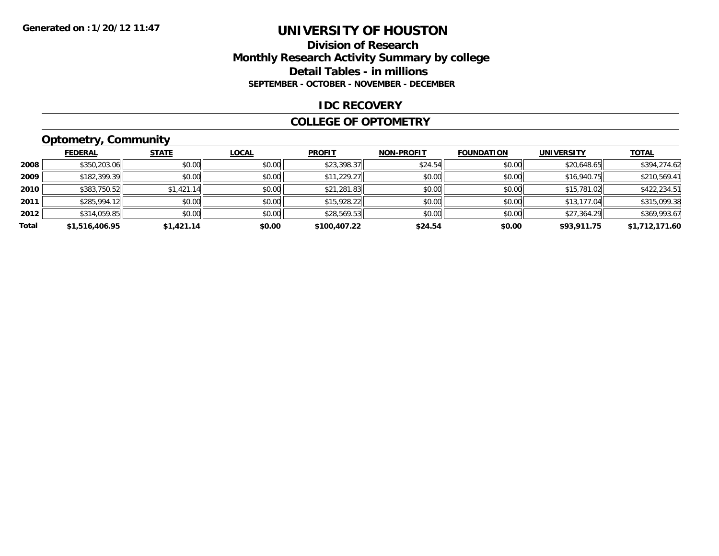## **Division of ResearchMonthly Research Activity Summary by college Detail Tables - in millions SEPTEMBER - OCTOBER - NOVEMBER - DECEMBER**

#### **IDC RECOVERY**

#### **COLLEGE OF OPTOMETRY**

## **Optometry, Community**

|       | ---            |              |              |               |                   |                   |                   |                |
|-------|----------------|--------------|--------------|---------------|-------------------|-------------------|-------------------|----------------|
|       | <b>FEDERAL</b> | <b>STATE</b> | <b>LOCAL</b> | <b>PROFIT</b> | <b>NON-PROFIT</b> | <b>FOUNDATION</b> | <b>UNIVERSITY</b> | <b>TOTAL</b>   |
| 2008  | \$350,203.06   | \$0.00       | \$0.00       | \$23,398.37   | \$24.54           | \$0.00            | \$20,648.65       | \$394,274.62   |
| 2009  | \$182,399.39   | \$0.00       | \$0.00       | \$11,229.27   | \$0.00            | \$0.00            | \$16.940.75       | \$210,569.41   |
| 2010  | \$383,750.52   | \$1,421.14   | \$0.00       | \$21,281.83   | \$0.00            | \$0.00            | \$15,781.02       | \$422,234.51   |
| 2011  | \$285,994.12   | \$0.00       | \$0.00       | \$15,928.22   | \$0.00            | \$0.00            | \$13,177.04       | \$315,099.38   |
| 2012  | \$314,059.85   | \$0.00       | \$0.00       | \$28,569.53   | \$0.00            | \$0.00            | \$27,364.29       | \$369,993.67   |
| Total | \$1,516,406.95 | \$1,421.14   | \$0.00       | \$100,407.22  | \$24.54           | \$0.00            | \$93,911.75       | \$1,712,171.60 |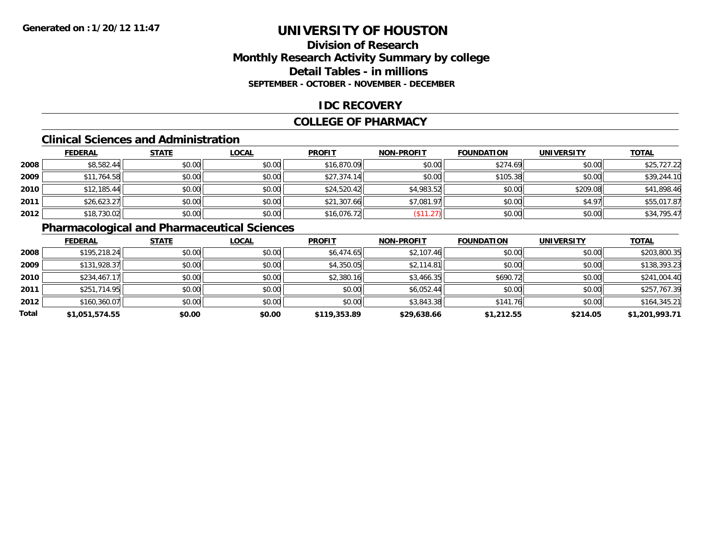## **Division of ResearchMonthly Research Activity Summary by college Detail Tables - in millions SEPTEMBER - OCTOBER - NOVEMBER - DECEMBER**

## **IDC RECOVERY**

#### **COLLEGE OF PHARMACY**

## **Clinical Sciences and Administration**

|      | <b>FEDERAL</b> | <b>STATE</b> | <b>LOCAL</b> | <b>PROFIT</b> | <b>NON-PROFIT</b> | <b>FOUNDATION</b> | <b>UNIVERSITY</b> | <b>TOTAL</b> |
|------|----------------|--------------|--------------|---------------|-------------------|-------------------|-------------------|--------------|
| 2008 | \$8,582.44     | \$0.00       | \$0.00       | \$16,870.09   | \$0.00            | \$274.69          | \$0.00            | \$25,727.22  |
| 2009 | \$11,764.58    | \$0.00       | \$0.00       | \$27,374.14   | \$0.00            | \$105.38          | \$0.00            | \$39,244.10  |
| 2010 | \$12,185.44    | \$0.00       | \$0.00       | \$24,520.42   | \$4,983.52        | \$0.00            | \$209.08          | \$41,898.46  |
| 2011 | \$26,623.27    | \$0.00       | \$0.00       | \$21,307.66   | \$7,081.97        | \$0.00            | \$4.97            | \$55,017.87  |
| 2012 | \$18,730.02    | \$0.00       | \$0.00       | \$16,076.72   | \$11.27           | \$0.00            | \$0.00            | \$34,795.47  |

## **Pharmacological and Pharmaceutical Sciences**

|       | <b>FEDERAL</b> | <b>STATE</b> | <b>LOCAL</b> | <b>PROFIT</b> | <b>NON-PROFIT</b> | <b>FOUNDATION</b> | <b>UNIVERSITY</b> | <b>TOTAL</b>   |
|-------|----------------|--------------|--------------|---------------|-------------------|-------------------|-------------------|----------------|
| 2008  | \$195,218.24   | \$0.00       | \$0.00       | \$6,474.65    | \$2,107.46        | \$0.00            | \$0.00            | \$203,800.35   |
| 2009  | \$131,928.37   | \$0.00       | \$0.00       | \$4,350.05    | \$2,114.81        | \$0.00            | \$0.00            | \$138,393.23   |
| 2010  | \$234,467.17   | \$0.00       | \$0.00       | \$2,380.16    | \$3,466.35        | \$690.72          | \$0.00            | \$241,004.40   |
| 2011  | \$251,714.95   | \$0.00       | \$0.00       | \$0.00        | \$6,052.44        | \$0.00            | \$0.00            | \$257,767.39   |
| 2012  | \$160,360.07   | \$0.00       | \$0.00       | \$0.00        | \$3,843.38        | \$141.76          | \$0.00            | \$164,345.21   |
| Total | \$1,051,574.55 | \$0.00       | \$0.00       | \$119,353.89  | \$29,638.66       | \$1,212.55        | \$214.05          | \$1,201,993.71 |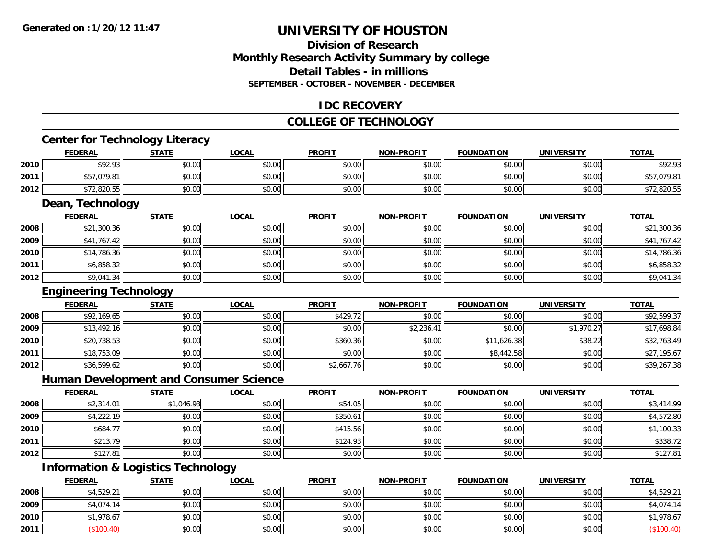## **Division of ResearchMonthly Research Activity Summary by college Detail Tables - in millionsSEPTEMBER - OCTOBER - NOVEMBER - DECEMBER**

## **IDC RECOVERY**

#### **COLLEGE OF TECHNOLOGY**

## **Center for Technology Literacy**

|      |                | <b>Center for Technology Literacy</b> |              |               |                   |                   |                   |              |
|------|----------------|---------------------------------------|--------------|---------------|-------------------|-------------------|-------------------|--------------|
|      | <b>FEDERAL</b> | <b>STATE</b>                          | <b>LOCAL</b> | <b>PROFIT</b> | <b>NON-PROFIT</b> | <b>FOUNDATION</b> | <b>UNIVERSITY</b> | <b>TOTAL</b> |
| 2010 | \$92.93        | \$0.00                                | \$0.00       | \$0.00        | \$0.00            | \$0.00            | \$0.00            | \$92.93      |
| 2011 | \$57,079.81    | \$0.00                                | \$0.00       | \$0.00        | \$0.00            | \$0.00            | \$0.00            | \$57,079.81  |
| 2012 | \$72,820.55    | \$0.00                                | \$0.00       | \$0.00        | \$0.00            | \$0.00            | \$0.00            | \$72,820.55  |

## **Dean, Technology**

|      | <b>FEDERAL</b> | <b>STATE</b> | <u>LOCAL</u> | <b>PROFIT</b> | <b>NON-PROFIT</b> | <b>FOUNDATION</b> | <b>UNIVERSITY</b> | <b>TOTAL</b> |
|------|----------------|--------------|--------------|---------------|-------------------|-------------------|-------------------|--------------|
| 2008 | \$21,300.36    | \$0.00       | \$0.00       | \$0.00        | \$0.00            | \$0.00            | \$0.00            | \$21,300.36  |
| 2009 | \$41,767.42    | \$0.00       | \$0.00       | \$0.00        | \$0.00            | \$0.00            | \$0.00            | \$41,767.42  |
| 2010 | \$14,786.36    | \$0.00       | \$0.00       | \$0.00        | \$0.00            | \$0.00            | \$0.00            | \$14,786.36  |
| 2011 | \$6,858.32     | \$0.00       | \$0.00       | \$0.00        | \$0.00            | \$0.00            | \$0.00            | \$6,858.32   |
| 2012 | \$9,041.34     | \$0.00       | \$0.00       | \$0.00        | \$0.00            | \$0.00            | \$0.00            | \$9,041.34   |

### **Engineering Technology**

|      | <b>FEDERAL</b> | <b>STATE</b> | <u>LOCAL</u> | <b>PROFIT</b> | <b>NON-PROFIT</b> | <b>FOUNDATION</b> | <b>UNIVERSITY</b> | <b>TOTAL</b> |
|------|----------------|--------------|--------------|---------------|-------------------|-------------------|-------------------|--------------|
| 2008 | \$92,169.65    | \$0.00       | \$0.00       | \$429.72      | \$0.00            | \$0.00            | \$0.00            | \$92,599.37  |
| 2009 | \$13,492.16    | \$0.00       | \$0.00       | \$0.00        | \$2,236.41        | \$0.00            | \$1,970.27        | \$17,698.84  |
| 2010 | \$20,738.53    | \$0.00       | \$0.00       | \$360.36      | \$0.00            | \$11,626.38       | \$38.22           | \$32,763.49  |
| 2011 | \$18,753.09    | \$0.00       | \$0.00       | \$0.00        | \$0.00            | \$8,442.58        | \$0.00            | \$27,195.67  |
| 2012 | \$36,599.62    | \$0.00       | \$0.00       | \$2,667.76    | \$0.00            | \$0.00            | \$0.00            | \$39,267.38  |

### **Human Development and Consumer Science**

|      | <u>FEDERAL</u> | <b>STATE</b> | <b>LOCAL</b> | <b>PROFIT</b> | <b>NON-PROFIT</b> | <b>FOUNDATION</b> | <b>UNIVERSITY</b> | <b>TOTAL</b> |
|------|----------------|--------------|--------------|---------------|-------------------|-------------------|-------------------|--------------|
| 2008 | \$2,314.01     | \$1,046.93   | \$0.00       | \$54.05       | \$0.00            | \$0.00            | \$0.00            | \$3,414.99   |
| 2009 | \$4,222.19     | \$0.00       | \$0.00       | \$350.61      | \$0.00            | \$0.00            | \$0.00            | \$4,572.80   |
| 2010 | \$684.77       | \$0.00       | \$0.00       | \$415.56      | \$0.00            | \$0.00            | \$0.00            | \$1,100.33   |
| 2011 | \$213.79       | \$0.00       | \$0.00       | \$124.93      | \$0.00            | \$0.00            | \$0.00            | \$338.72     |
| 2012 | \$127.81       | \$0.00       | \$0.00       | \$0.00        | \$0.00            | \$0.00            | \$0.00            | \$127.81     |

## **Information & Logistics Technology**

|      | <b>FEDERAL</b> | <b>STATE</b> | <u>LOCAL</u> | <b>PROFIT</b> | <b>NON-PROFIT</b> | <b>FOUNDATION</b> | <b>UNIVERSITY</b> | <b>TOTAL</b> |
|------|----------------|--------------|--------------|---------------|-------------------|-------------------|-------------------|--------------|
| 2008 | \$4,529.21     | \$0.00       | \$0.00       | \$0.00        | \$0.00            | \$0.00            | \$0.00            | \$4,529.21   |
| 2009 | \$4,074.14     | \$0.00       | \$0.00       | \$0.00        | \$0.00            | \$0.00            | \$0.00            | \$4,074.14   |
| 2010 | \$1,978.67     | \$0.00       | \$0.00       | \$0.00        | \$0.00            | \$0.00            | \$0.00            | \$1,978.67   |
| 2011 |                | \$0.00       | \$0.00       | \$0.00        | \$0.00            | \$0.00            | \$0.00            |              |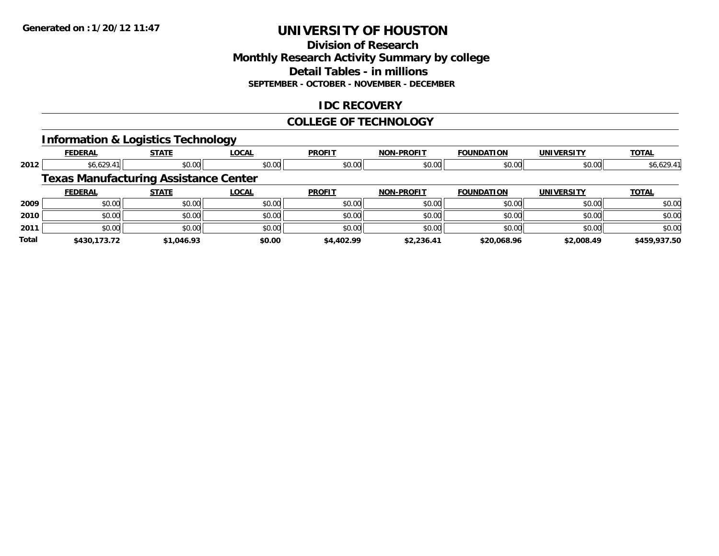## **Division of ResearchMonthly Research Activity Summary by college Detail Tables - in millions SEPTEMBER - OCTOBER - NOVEMBER - DECEMBER**

## **IDC RECOVERY**

#### **COLLEGE OF TECHNOLOGY**

## **Information & Logistics Technology**

|       | <b>FEDERAL</b>                               | <b>STATE</b> | <b>LOCAL</b> | <b>PROFIT</b> | <b>NON-PROFIT</b> | <b>FOUNDATION</b> | <b>UNIVERSITY</b> | <b>TOTAL</b> |
|-------|----------------------------------------------|--------------|--------------|---------------|-------------------|-------------------|-------------------|--------------|
| 2012  | \$6,629.41                                   | \$0.00       | \$0.00       | \$0.00        | \$0.00            | \$0.00            | \$0.00            | \$6,629.41   |
|       | <b>Texas Manufacturing Assistance Center</b> |              |              |               |                   |                   |                   |              |
|       | <b>FEDERAL</b>                               | <b>STATE</b> | <b>LOCAL</b> | <b>PROFIT</b> | <b>NON-PROFIT</b> | <b>FOUNDATION</b> | <b>UNIVERSITY</b> | <b>TOTAL</b> |
| 2009  | \$0.00                                       | \$0.00       | \$0.00       | \$0.00        | \$0.00            | \$0.00            | \$0.00            | \$0.00       |
| 2010  | \$0.00                                       | \$0.00       | \$0.00       | \$0.00        | \$0.00            | \$0.00            | \$0.00            | \$0.00       |
| 2011  | \$0.00                                       | \$0.00       | \$0.00       | \$0.00        | \$0.00            | \$0.00            | \$0.00            | \$0.00       |
| Total | \$430,173.72                                 | \$1,046.93   | \$0.00       | \$4,402.99    | \$2,236.41        | \$20,068.96       | \$2,008.49        | \$459,937.50 |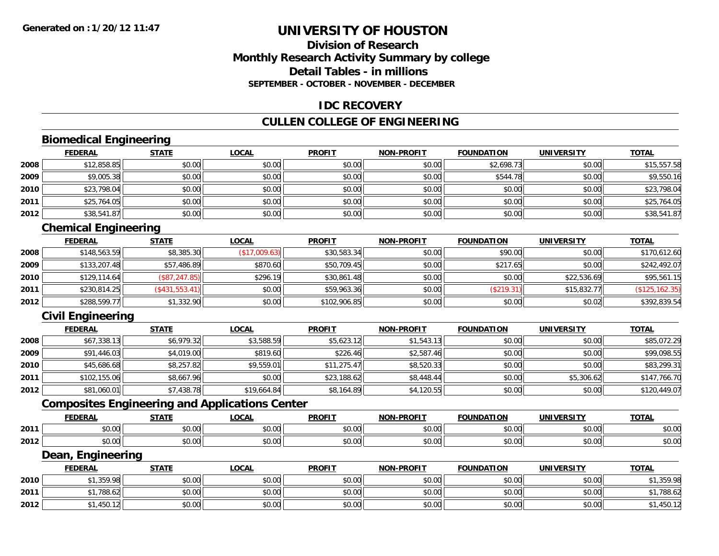## **Division of ResearchMonthly Research Activity Summary by college Detail Tables - in millionsSEPTEMBER - OCTOBER - NOVEMBER - DECEMBER**

### **IDC RECOVERY**

### **CULLEN COLLEGE OF ENGINEERING**

## **Biomedical Engineering**

|      | <b>FEDERAL</b> | <b>STATE</b> | <b>LOCAL</b> | <b>PROFIT</b> | <b>NON-PROFIT</b> | <b>FOUNDATION</b> | <b>UNIVERSITY</b> | <b>TOTAL</b> |
|------|----------------|--------------|--------------|---------------|-------------------|-------------------|-------------------|--------------|
| 2008 | \$12,858.85    | \$0.00       | \$0.00       | \$0.00        | \$0.00            | \$2,698.73        | \$0.00            | \$15,557.58  |
| 2009 | \$9,005.38     | \$0.00       | \$0.00       | \$0.00        | \$0.00            | \$544.78          | \$0.00            | \$9,550.16   |
| 2010 | \$23,798.04    | \$0.00       | \$0.00       | \$0.00        | \$0.00            | \$0.00            | \$0.00            | \$23,798.04  |
| 2011 | \$25,764.05    | \$0.00       | \$0.00       | \$0.00        | \$0.00            | \$0.00            | \$0.00            | \$25,764.05  |
| 2012 | \$38,541.87    | \$0.00       | \$0.00       | \$0.00        | \$0.00            | \$0.00            | \$0.00            | \$38,541.87  |

## **Chemical Engineering**

|      | <b>FEDERAL</b> | <b>STATE</b>   | <b>LOCAL</b>  | <b>PROFIT</b> | <b>NON-PROFIT</b> | <b>FOUNDATION</b> | <b>UNIVERSITY</b> | <b>TOTAL</b>    |
|------|----------------|----------------|---------------|---------------|-------------------|-------------------|-------------------|-----------------|
| 2008 | \$148,563.59   | \$8,385.30     | (\$17,009.63) | \$30,583.34   | \$0.00            | \$90.00           | \$0.00            | \$170,612.60    |
| 2009 | \$133,207.48   | \$57,486.89    | \$870.60      | \$50,709.45   | \$0.00            | \$217.65          | \$0.00            | \$242,492.07    |
| 2010 | \$129,114.64   | (\$87, 247.85) | \$296.19      | \$30,861.48   | \$0.00            | \$0.00            | \$22,536.69       | \$95,561.15     |
| 2011 | \$230,814.25   | (\$431,553.41) | \$0.00        | \$59,963.36   | \$0.00            | (\$219.31)        | \$15,832.77       | (\$125, 162.35) |
| 2012 | \$288,599.77   | \$1,332.90     | \$0.00        | \$102,906.85  | \$0.00            | \$0.00            | \$0.02            | \$392,839.54    |

## **Civil Engineering**

|      | <b>FEDERAL</b> | <b>STATE</b> | <u>LOCAL</u> | <b>PROFIT</b> | <b>NON-PROFIT</b> | <b>FOUNDATION</b> | <b>UNIVERSITY</b> | <b>TOTAL</b> |
|------|----------------|--------------|--------------|---------------|-------------------|-------------------|-------------------|--------------|
| 2008 | \$67,338.13    | \$6,979.32   | \$3,588.59   | \$5,623.12    | \$1,543.13        | \$0.00            | \$0.00            | \$85,072.29  |
| 2009 | \$91,446.03    | \$4,019.00   | \$819.60     | \$226.46      | \$2,587.46        | \$0.00            | \$0.00            | \$99,098.55  |
| 2010 | \$45,686.68    | \$8,257.82   | \$9,559.01   | \$11,275.47   | \$8,520.33        | \$0.00            | \$0.00            | \$83,299.31  |
| 2011 | \$102,155.06   | \$8,667.96   | \$0.00       | \$23,188.62   | \$8,448.44        | \$0.00            | \$5,306.62        | \$147,766.70 |
| 2012 | \$81,060.01    | \$7,438.78   | \$19,664.84  | \$8,164.89    | \$4,120.55        | \$0.00            | \$0.00            | \$120,449.07 |

## **Composites Engineering and Applications Center**

|      | <b>FEDERAL</b>          | <b>STATI</b>                                                  | LOCAI                  | <b>PROFIT</b> | <b>I-PROFIT</b><br>NON- | ΊΟΝ<br>FOI INDA'                     | UNIVERSITY     | <b>TOTAL</b>  |
|------|-------------------------|---------------------------------------------------------------|------------------------|---------------|-------------------------|--------------------------------------|----------------|---------------|
| 2011 | 0000<br>ט.טי            | $\uparrow$ $\uparrow$ $\uparrow$ $\uparrow$ $\uparrow$<br>ט.ט | $\sim$ $\sim$<br>vv.vv | 0.00<br>JU.UU | 0 <sup>n</sup><br>vu.vu | $\sim$ $\sim$ $\sim$ $\sim$<br>10.00 | 0.00<br>∕∪.∪∪  | 0000<br>DU.UU |
| 2012 | 0 <sub>0</sub><br>pu.uu | $\sim$<br>ט.ט                                                 | 0000<br>JU.UU          | 0.00<br>JU.UU | 0000<br>ง∪.∪บ           | $+ - - -$<br>ww.                     | ልስ ባህ<br>DU.UG | \$0.00        |

#### **Dean, Engineering**

|      | <b>FEDERAL</b>               | <b>STATE</b> | <u>LOCAL</u>           | <b>PROFIT</b> | <b>NON-PROFIT</b> | <b>FOUNDATION</b> | <b>UNIVERSITY</b> | <b>TOTAL</b> |
|------|------------------------------|--------------|------------------------|---------------|-------------------|-------------------|-------------------|--------------|
| 2010 | <b>¢1 250 00</b><br>,,,,,,,, | \$0.00       | $n \cap \neg$<br>DU.U¢ | \$0.00        | \$0.00            | \$0.00            | \$0.00            | ,359.98      |
| 2011 | 1.70010<br>1.788.62          | \$0.00       | \$0.00                 | \$0.00        | \$0.00            | \$0.00            | \$0.00            | .788.62      |
| 2012 | $1.450.12$ <sup>1</sup>      | \$0.00       | \$0.00                 | \$0.00        | \$0.00            | \$0.00            | \$0.00            | . 400.       |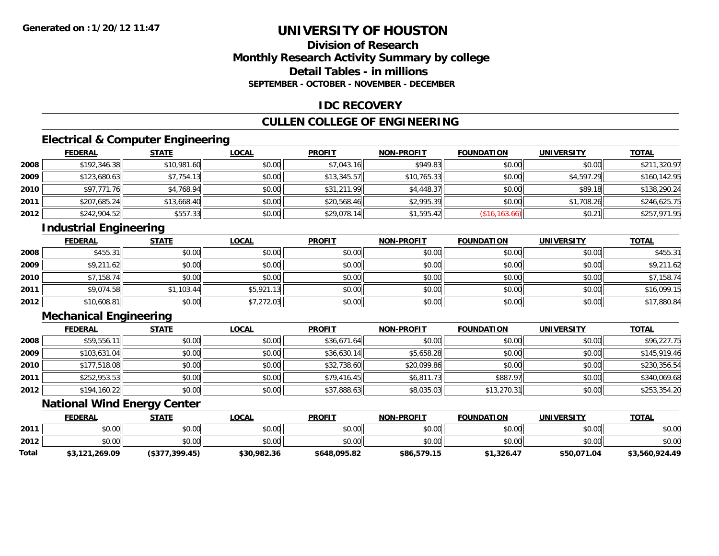## **Division of ResearchMonthly Research Activity Summary by college Detail Tables - in millionsSEPTEMBER - OCTOBER - NOVEMBER - DECEMBER**

## **IDC RECOVERY**

## **CULLEN COLLEGE OF ENGINEERING**

## **Electrical & Computer Engineering**

|      | <b>FEDERAL</b> | <b>STATE</b> | <b>LOCAL</b> | <b>PROFIT</b> | <b>NON-PROFIT</b> | <b>FOUNDATION</b> | <b>UNIVERSITY</b> | <b>TOTAL</b> |
|------|----------------|--------------|--------------|---------------|-------------------|-------------------|-------------------|--------------|
| 2008 | \$192,346.38   | \$10,981.60  | \$0.00       | \$7,043.16    | \$949.83          | \$0.00            | \$0.00            | \$211,320.97 |
| 2009 | \$123,680.63   | \$7,754.13   | \$0.00       | \$13,345.57   | \$10,765.33       | \$0.00            | \$4,597.29        | \$160,142.95 |
| 2010 | \$97,771.76    | \$4,768.94   | \$0.00       | \$31,211.99   | \$4,448.37        | \$0.00            | \$89.18           | \$138,290.24 |
| 2011 | \$207,685.24   | \$13,668.40  | \$0.00       | \$20,568.46   | \$2,995.39        | \$0.00            | \$1,708.26        | \$246,625.75 |
| 2012 | \$242,904.52   | \$557.33     | \$0.00       | \$29,078.14   | \$1,595.42        | (S16, 163.66)     | \$0.21            | \$257,971.95 |

## **Industrial Engineering**

|      | <b>FEDERAL</b> | <b>STATE</b> | <u>LOCAL</u> | <b>PROFIT</b> | <b>NON-PROFIT</b> | <b>FOUNDATION</b> | <b>UNIVERSITY</b> | <b>TOTAL</b> |
|------|----------------|--------------|--------------|---------------|-------------------|-------------------|-------------------|--------------|
| 2008 | \$455.31       | \$0.00       | \$0.00       | \$0.00        | \$0.00            | \$0.00            | \$0.00            | \$455.31     |
| 2009 | \$9,211.62     | \$0.00       | \$0.00       | \$0.00        | \$0.00            | \$0.00            | \$0.00            | \$9,211.62   |
| 2010 | \$7,158.74     | \$0.00       | \$0.00       | \$0.00        | \$0.00            | \$0.00            | \$0.00            | \$7,158.74   |
| 2011 | \$9,074.58     | \$1,103.44   | \$5,921.13   | \$0.00        | \$0.00            | \$0.00            | \$0.00            | \$16,099.15  |
| 2012 | \$10,608.81    | \$0.00       | \$7,272.03   | \$0.00        | \$0.00            | \$0.00            | \$0.00            | \$17,880.84  |

## **Mechanical Engineering**

|      | <u>FEDERAL</u> | <b>STATE</b> | <b>LOCAL</b> | <b>PROFIT</b> | <b>NON-PROFIT</b> | <b>FOUNDATION</b> | <b>UNIVERSITY</b> | <b>TOTAL</b> |
|------|----------------|--------------|--------------|---------------|-------------------|-------------------|-------------------|--------------|
| 2008 | \$59,556.11    | \$0.00       | \$0.00       | \$36,671.64   | \$0.00            | \$0.00            | \$0.00            | \$96,227.75  |
| 2009 | \$103,631.04   | \$0.00       | \$0.00       | \$36,630.14   | \$5,658.28        | \$0.00            | \$0.00            | \$145,919.46 |
| 2010 | \$177,518.08   | \$0.00       | \$0.00       | \$32,738.60   | \$20,099.86       | \$0.00            | \$0.00            | \$230,356.54 |
| 2011 | \$252,953.53   | \$0.00       | \$0.00       | \$79,416.45   | \$6,811.73        | \$887.97          | \$0.00            | \$340,069.68 |
| 2012 | \$194,160.22   | \$0.00       | \$0.00       | \$37,888.63   | \$8,035.03        | \$13,270.31       | \$0.00            | \$253,354.20 |

## **National Wind Energy Center**

|       | <b>FEDERAL</b> | <b>STATE</b>   | <u>LOCAL</u> | <b>PROFIT</b> | <b>NON-PROFIT</b> | <b>FOUNDATION</b> | <b>UNIVERSITY</b> | <b>TOTAL</b>   |
|-------|----------------|----------------|--------------|---------------|-------------------|-------------------|-------------------|----------------|
| 2011  | \$0.00         | \$0.00         | \$0.00       | \$0.00        | \$0.00            | \$0.00            | \$0.00            | \$0.00         |
| 2012  | \$0.00         | \$0.00         | \$0.00       | \$0.00        | \$0.00            | \$0.00            | \$0.00            | \$0.00         |
| Total | \$3,121,269.09 | (\$377,399.45) | \$30,982.36  | \$648,095.82  | \$86,579.15       | \$1,326.47        | \$50,071.04       | \$3,560,924.49 |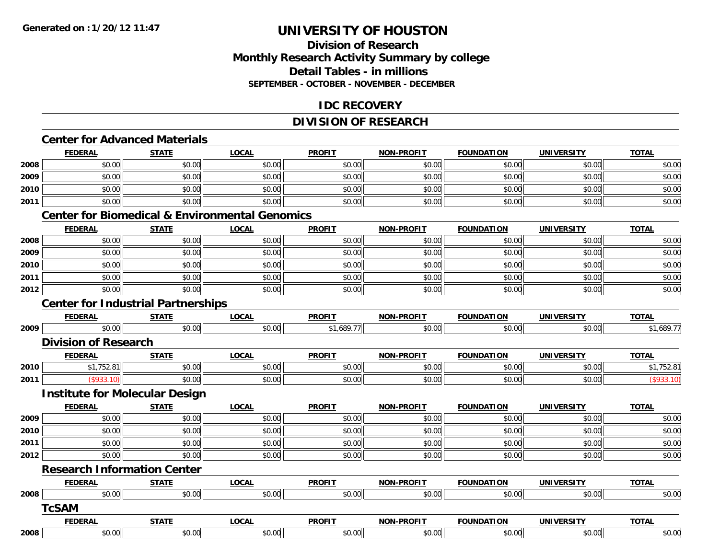## **Division of ResearchMonthly Research Activity Summary by college Detail Tables - in millionsSEPTEMBER - OCTOBER - NOVEMBER - DECEMBER**

## **IDC RECOVERY**

### **DIVISION OF RESEARCH**

## **Center for Advanced Materials**

|      | <b>FEDERAL</b>                                            | <b>STATE</b> | <b>LOCAL</b> | <b>PROFIT</b> | <b>NON-PROFIT</b> | <b>FOUNDATION</b> | <b>UNIVERSITY</b> | <b>TOTAL</b> |
|------|-----------------------------------------------------------|--------------|--------------|---------------|-------------------|-------------------|-------------------|--------------|
| 2008 | \$0.00                                                    | \$0.00       | \$0.00       | \$0.00        | \$0.00            | \$0.00            | \$0.00            | \$0.00       |
| 2009 | \$0.00                                                    | \$0.00       | \$0.00       | \$0.00        | \$0.00            | \$0.00            | \$0.00            | \$0.00       |
| 2010 | \$0.00                                                    | \$0.00       | \$0.00       | \$0.00        | \$0.00            | \$0.00            | \$0.00            | \$0.00       |
| 2011 | \$0.00                                                    | \$0.00       | \$0.00       | \$0.00        | \$0.00            | \$0.00            | \$0.00            | \$0.00       |
|      | <b>Center for Biomedical &amp; Environmental Genomics</b> |              |              |               |                   |                   |                   |              |
|      | <b>FEDERAL</b>                                            | <b>STATE</b> | <b>LOCAL</b> | <b>PROFIT</b> | <b>NON-PROFIT</b> | <b>FOUNDATION</b> | <b>UNIVERSITY</b> | <b>TOTAL</b> |
| 2008 | \$0.00                                                    | \$0.00       | \$0.00       | \$0.00        | \$0.00            | \$0.00            | \$0.00            | \$0.00       |
| 2009 | \$0.00                                                    | \$0.00       | \$0.00       | \$0.00        | \$0.00            | \$0.00            | \$0.00            | \$0.00       |
| 2010 | \$0.00                                                    | \$0.00       | \$0.00       | \$0.00        | \$0.00            | \$0.00            | \$0.00            | \$0.00       |
| 2011 | \$0.00                                                    | \$0.00       | \$0.00       | \$0.00        | \$0.00            | \$0.00            | \$0.00            | \$0.00       |
| 2012 | \$0.00                                                    | \$0.00       | \$0.00       | \$0.00        | \$0.00            | \$0.00            | \$0.00            | \$0.00       |
|      | <b>Center for Industrial Partnerships</b>                 |              |              |               |                   |                   |                   |              |
|      | <b>FEDERAL</b>                                            | <b>STATE</b> | <b>LOCAL</b> | <b>PROFIT</b> | <b>NON-PROFIT</b> | <b>FOUNDATION</b> | <b>UNIVERSITY</b> | <b>TOTAL</b> |
| 2009 | \$0.00                                                    | \$0.00       | \$0.00       | \$1,689.77    | \$0.00            | \$0.00            | \$0.00            | \$1,689.77   |
|      | <b>Division of Research</b>                               |              |              |               |                   |                   |                   |              |
|      | <b>FEDERAL</b>                                            | <b>STATE</b> | <b>LOCAL</b> | <b>PROFIT</b> | <b>NON-PROFIT</b> | <b>FOUNDATION</b> | <b>UNIVERSITY</b> | <b>TOTAL</b> |
| 2010 | \$1,752.81                                                | \$0.00       | \$0.00       | \$0.00        | \$0.00            | \$0.00            | \$0.00            | \$1,752.81   |
| 2011 | (\$933.10)                                                | \$0.00       | \$0.00       | \$0.00        | \$0.00            | \$0.00            | \$0.00            | (\$933.10)   |
|      | <b>Institute for Molecular Design</b>                     |              |              |               |                   |                   |                   |              |
|      | <b>FEDERAL</b>                                            | <b>STATE</b> | <b>LOCAL</b> | <b>PROFIT</b> | <b>NON-PROFIT</b> | <b>FOUNDATION</b> | <b>UNIVERSITY</b> | <b>TOTAL</b> |
| 2009 | \$0.00                                                    | \$0.00       | \$0.00       | \$0.00        | \$0.00            | \$0.00            | \$0.00            | \$0.00       |
| 2010 | \$0.00                                                    | \$0.00       | \$0.00       | \$0.00        | \$0.00            | \$0.00            | \$0.00            | \$0.00       |
| 2011 | \$0.00                                                    | \$0.00       | \$0.00       | \$0.00        | \$0.00            | \$0.00            | \$0.00            | \$0.00       |
| 2012 | \$0.00                                                    | \$0.00       | \$0.00       | \$0.00        | \$0.00            | \$0.00            | \$0.00            | \$0.00       |
|      | <b>Research Information Center</b>                        |              |              |               |                   |                   |                   |              |
|      | <b>FEDERAL</b>                                            | <b>STATE</b> | <b>LOCAL</b> | <b>PROFIT</b> | <b>NON-PROFIT</b> | <b>FOUNDATION</b> | <b>UNIVERSITY</b> | <b>TOTAL</b> |
| 2008 | \$0.00                                                    | \$0.00       | \$0.00       | \$0.00        | \$0.00            | \$0.00            | \$0.00            | \$0.00       |
|      | <b>TcSAM</b>                                              |              |              |               |                   |                   |                   |              |
|      | <b>FEDERAL</b>                                            | <b>STATE</b> | <b>LOCAL</b> | <b>PROFIT</b> | <b>NON-PROFIT</b> | <b>FOUNDATION</b> | <b>UNIVERSITY</b> | <b>TOTAL</b> |
|      |                                                           |              |              |               |                   |                   |                   |              |

**2008**\$0.00 \$0.00 \$0.00 \$0.00 \$0.00 \$0.00 \$0.00 \$0.00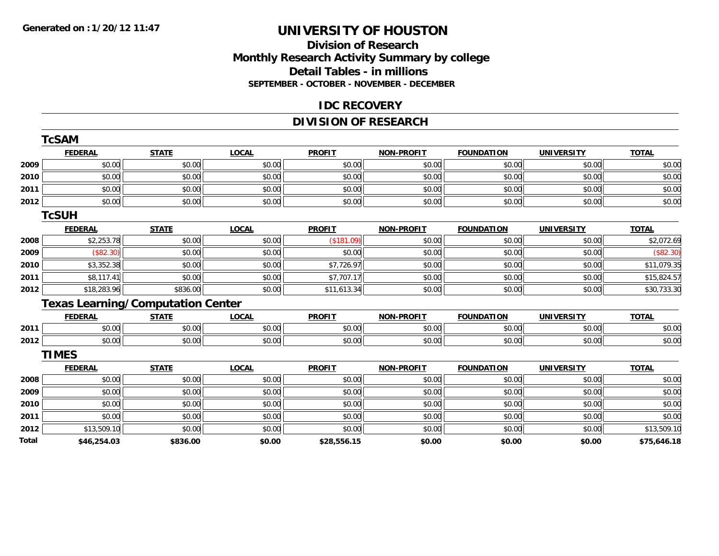#### **Division of Research Monthly Research Activity Summary by college Detail Tables - in millions SEPTEMBER - OCTOBER - NOVEMBER - DECEMBER**

#### **IDC RECOVERY**

## **DIVISION OF RESEARCH**

|              | <b>TcSAM</b>                             |              |              |               |                   |                   |                   |              |
|--------------|------------------------------------------|--------------|--------------|---------------|-------------------|-------------------|-------------------|--------------|
|              | <b>FEDERAL</b>                           | <b>STATE</b> | <b>LOCAL</b> | <b>PROFIT</b> | <b>NON-PROFIT</b> | <b>FOUNDATION</b> | <b>UNIVERSITY</b> | <b>TOTAL</b> |
| 2009         | \$0.00                                   | \$0.00       | \$0.00       | \$0.00        | \$0.00            | \$0.00            | \$0.00            | \$0.00       |
| 2010         | \$0.00                                   | \$0.00       | \$0.00       | \$0.00        | \$0.00            | \$0.00            | \$0.00            | \$0.00       |
| 2011         | \$0.00                                   | \$0.00       | \$0.00       | \$0.00        | \$0.00            | \$0.00            | \$0.00            | \$0.00       |
| 2012         | \$0.00                                   | \$0.00       | \$0.00       | \$0.00        | \$0.00            | \$0.00            | \$0.00            | \$0.00       |
|              | <b>TCSUH</b>                             |              |              |               |                   |                   |                   |              |
|              | <b>FEDERAL</b>                           | <b>STATE</b> | <b>LOCAL</b> | <b>PROFIT</b> | <b>NON-PROFIT</b> | <b>FOUNDATION</b> | <b>UNIVERSITY</b> | <b>TOTAL</b> |
| 2008         | \$2,253.78                               | \$0.00       | \$0.00       | (\$181.09)    | \$0.00            | \$0.00            | \$0.00            | \$2,072.69   |
| 2009         | (\$82.30)                                | \$0.00       | \$0.00       | \$0.00        | \$0.00            | \$0.00            | \$0.00            | (\$82.30)    |
| 2010         | \$3,352.38                               | \$0.00       | \$0.00       | \$7,726.97    | \$0.00            | \$0.00            | \$0.00            | \$11,079.35  |
| 2011         | \$8,117.41                               | \$0.00       | \$0.00       | \$7,707.17    | \$0.00            | \$0.00            | \$0.00            | \$15,824.57  |
| 2012         | \$18,283.96                              | \$836.00     | \$0.00       | \$11,613.34   | \$0.00            | \$0.00            | \$0.00            | \$30,733.30  |
|              | <b>Texas Learning/Computation Center</b> |              |              |               |                   |                   |                   |              |
|              | <b>FEDERAL</b>                           | <b>STATE</b> | <b>LOCAL</b> | <b>PROFIT</b> | <b>NON-PROFIT</b> | <b>FOUNDATION</b> | <b>UNIVERSITY</b> | <b>TOTAL</b> |
| 2011         | \$0.00                                   | \$0.00       | \$0.00       | \$0.00        | \$0.00            | \$0.00            | \$0.00            | \$0.00       |
| 2012         | \$0.00                                   | \$0.00       | \$0.00       | \$0.00        | \$0.00            | \$0.00            | \$0.00            | \$0.00       |
|              | <b>TIMES</b>                             |              |              |               |                   |                   |                   |              |
|              | <b>FEDERAL</b>                           | <b>STATE</b> | <b>LOCAL</b> | <b>PROFIT</b> | <b>NON-PROFIT</b> | <b>FOUNDATION</b> | <b>UNIVERSITY</b> | <b>TOTAL</b> |
| 2008         | \$0.00                                   | \$0.00       | \$0.00       | \$0.00        | \$0.00            | \$0.00            | \$0.00            | \$0.00       |
| 2009         | \$0.00                                   | \$0.00       | \$0.00       | \$0.00        | \$0.00            | \$0.00            | \$0.00            | \$0.00       |
| 2010         | \$0.00                                   | \$0.00       | \$0.00       | \$0.00        | \$0.00            | \$0.00            | \$0.00            | \$0.00       |
| 2011         | \$0.00                                   | \$0.00       | \$0.00       | \$0.00        | \$0.00            | \$0.00            | \$0.00            | \$0.00       |
| 2012         | \$13,509.10                              | \$0.00       | \$0.00       | \$0.00        | \$0.00            | \$0.00            | \$0.00            | \$13,509.10  |
| <b>Total</b> | \$46,254.03                              | \$836.00     | \$0.00       | \$28,556.15   | \$0.00            | \$0.00            | \$0.00            | \$75,646.18  |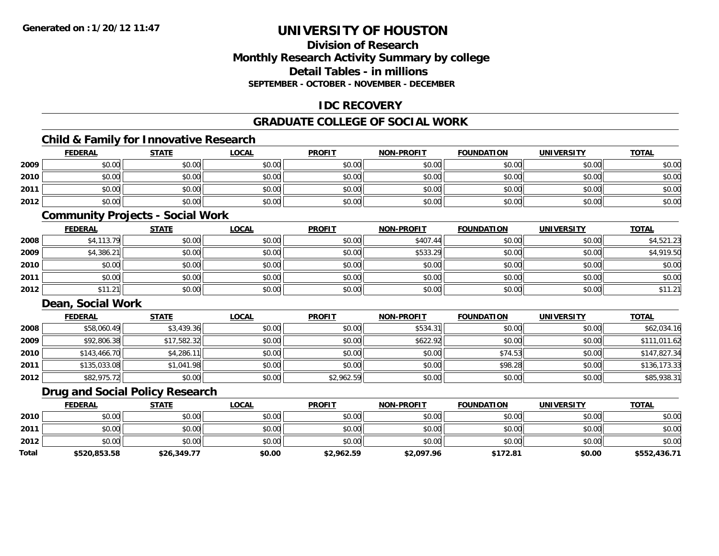## **Division of ResearchMonthly Research Activity Summary by college Detail Tables - in millionsSEPTEMBER - OCTOBER - NOVEMBER - DECEMBER**

## **IDC RECOVERY**

## **GRADUATE COLLEGE OF SOCIAL WORK**

## **Child & Family for Innovative Research**

|      | <b>FEDERAL</b> | <b>STATE</b> | <b>LOCAL</b> | <b>PROFIT</b> | <b>NON-PROFIT</b> | <b>FOUNDATION</b> | <b>UNIVERSITY</b> | <b>TOTAL</b> |
|------|----------------|--------------|--------------|---------------|-------------------|-------------------|-------------------|--------------|
| 2009 | \$0.00         | \$0.00       | \$0.00       | \$0.00        | \$0.00            | \$0.00            | \$0.00            | \$0.00       |
| 2010 | \$0.00         | \$0.00       | \$0.00       | \$0.00        | \$0.00            | \$0.00            | \$0.00            | \$0.00       |
| 2011 | \$0.00         | \$0.00       | \$0.00       | \$0.00        | \$0.00            | \$0.00            | \$0.00            | \$0.00       |
| 2012 | \$0.00         | \$0.00       | \$0.00       | \$0.00        | \$0.00            | \$0.00            | \$0.00            | \$0.00       |

#### **Community Projects - Social Work**

|      | <b>FEDERAL</b> | <b>STATE</b> | <b>LOCAL</b> | <b>PROFIT</b> | <b>NON-PROFIT</b> | <b>FOUNDATION</b> | <b>UNIVERSITY</b> | <u>TOTAL</u> |
|------|----------------|--------------|--------------|---------------|-------------------|-------------------|-------------------|--------------|
| 2008 | \$4,113.79     | \$0.00       | \$0.00       | \$0.00        | \$407.44          | \$0.00            | \$0.00            | \$4,521.23   |
| 2009 | \$4,386.21     | \$0.00       | \$0.00       | \$0.00        | \$533.29          | \$0.00            | \$0.00            | \$4,919.50   |
| 2010 | \$0.00         | \$0.00       | \$0.00       | \$0.00        | \$0.00            | \$0.00            | \$0.00            | \$0.00       |
| 2011 | \$0.00         | \$0.00       | \$0.00       | \$0.00        | \$0.00            | \$0.00            | \$0.00            | \$0.00       |
| 2012 | \$11.21        | \$0.00       | \$0.00       | \$0.00        | \$0.00            | \$0.00            | \$0.00            | \$11.21      |

### **Dean, Social Work**

|      | <b>FEDERAL</b> | <b>STATE</b> | <b>LOCAL</b> | <b>PROFIT</b> | <b>NON-PROFIT</b> | <b>FOUNDATION</b> | <b>UNIVERSITY</b> | <b>TOTAL</b> |
|------|----------------|--------------|--------------|---------------|-------------------|-------------------|-------------------|--------------|
| 2008 | \$58,060.49    | \$3,439.36   | \$0.00       | \$0.00        | \$534.31          | \$0.00            | \$0.00            | \$62,034.16  |
| 2009 | \$92,806.38    | \$17,582.32  | \$0.00       | \$0.00        | \$622.92          | \$0.00            | \$0.00            | \$111,011.62 |
| 2010 | \$143,466.70   | \$4,286.11   | \$0.00       | \$0.00        | \$0.00            | \$74.53           | \$0.00            | \$147,827.34 |
| 2011 | \$135,033.08   | \$1,041.98   | \$0.00       | \$0.00        | \$0.00            | \$98.28           | \$0.00            | \$136,173.33 |
| 2012 | \$82,975.72    | \$0.00       | \$0.00       | \$2,962.59    | \$0.00            | \$0.00            | \$0.00            | \$85,938.31  |

## **Drug and Social Policy Research**

|              | <b>FEDERAL</b> | <b>STATE</b> | LOCAL  | <b>PROFIT</b> | <b>NON-PROFIT</b> | <b>FOUNDATION</b> | <b>UNIVERSITY</b> | <b>TOTAL</b> |
|--------------|----------------|--------------|--------|---------------|-------------------|-------------------|-------------------|--------------|
| 2010         | \$0.00         | \$0.00       | \$0.00 | \$0.00        | \$0.00            | \$0.00            | \$0.00            | \$0.00       |
| 2011         | \$0.00         | \$0.00       | \$0.00 | \$0.00        | \$0.00            | \$0.00            | \$0.00            | \$0.00       |
| 2012         | \$0.00         | \$0.00       | \$0.00 | \$0.00        | \$0.00            | \$0.00            | \$0.00            | \$0.00       |
| <b>Total</b> | \$520,853.58   | \$26,349.77  | \$0.00 | \$2,962.59    | \$2,097.96        | \$172.81          | \$0.00            | \$552,436.71 |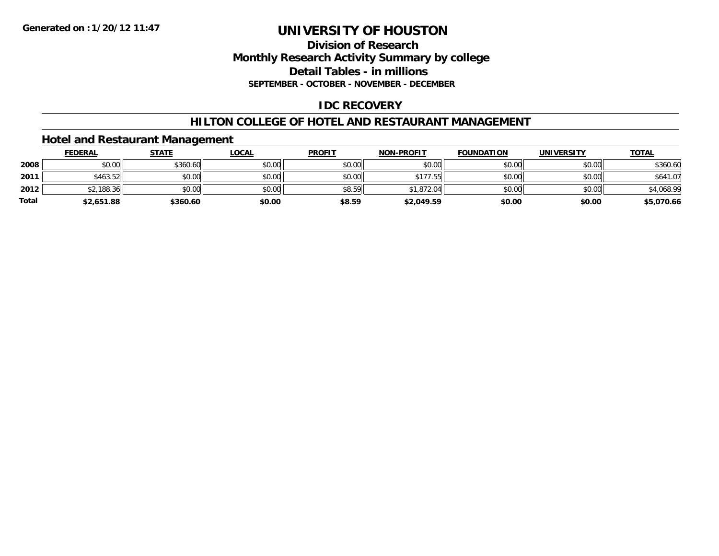## **Division of ResearchMonthly Research Activity Summary by college Detail Tables - in millions SEPTEMBER - OCTOBER - NOVEMBER - DECEMBER**

## **IDC RECOVERY**

## **HILTON COLLEGE OF HOTEL AND RESTAURANT MANAGEMENT**

## **Hotel and Restaurant Management**

|              | <b>FEDERAL</b> | <b>STATE</b> | <b>LOCAL</b> | <b>PROFIT</b> | <b>NON-PROFIT</b> | <b>FOUNDATION</b> | <b>UNIVERSITY</b> | <b>TOTAL</b> |
|--------------|----------------|--------------|--------------|---------------|-------------------|-------------------|-------------------|--------------|
| 2008         | \$0.00         | \$360.60     | \$0.00       | \$0.00        | \$0.00            | \$0.00            | \$0.00            | \$360.60     |
| 2011         | \$463.52       | \$0.00       | \$0.00       | \$0.00        | \$177.55          | \$0.00            | \$0.00            | \$641.07     |
| 2012         | \$2,188.36     | \$0.00       | \$0.00       | \$8.59        | \$1,872.04        | \$0.00            | \$0.00            | \$4,068.99   |
| <b>Total</b> | \$2,651.88     | \$360.60     | \$0.00       | \$8.59        | \$2,049.59        | \$0.00            | \$0.00            | \$5,070.66   |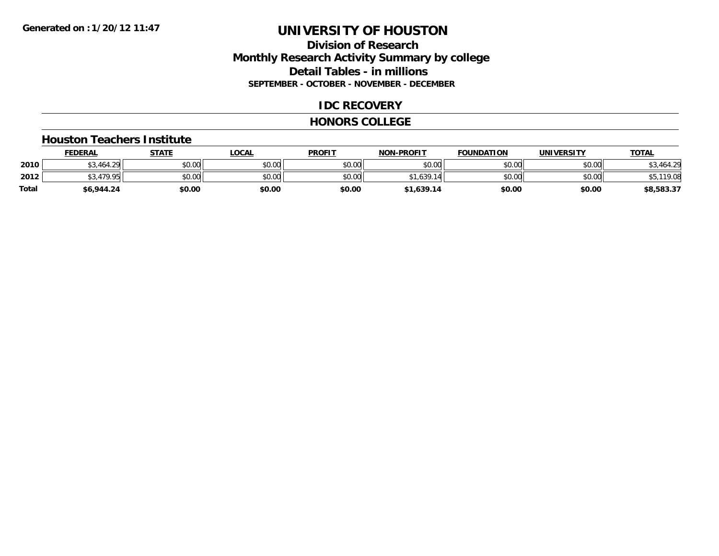## **Division of ResearchMonthly Research Activity Summary by college Detail Tables - in millions SEPTEMBER - OCTOBER - NOVEMBER - DECEMBER**

### **IDC RECOVERY**

#### **HONORS COLLEGE**

#### **Houston Teachers Institute**

|       | <b>FEDERAL</b> | <b>STATE</b> | LOCAL  | <b>PROFIT</b> | <b>NON-PROFIT</b> | <b>FOUNDATION</b> | <b>UNIVERSITY</b> | <u>TOTAL</u>          |
|-------|----------------|--------------|--------|---------------|-------------------|-------------------|-------------------|-----------------------|
| 2010  | 3,464.29 د     | \$0.00       | \$0.00 | \$0.00        | \$0.00            | \$0.00            | \$0.00            | ,464.29<br>ሖ へ<br>υυ, |
| 2012  | 470 QF         | \$0.00       | \$0.00 | \$0.00        | .639<br>¢1        | \$0.00            | \$0.00            | 119.08<br>DJ.         |
| Total | \$6,944.24     | \$0.00       | \$0.00 | \$0.00        | \$1,639.14        | \$0.00            | \$0.00            | \$8,583.37            |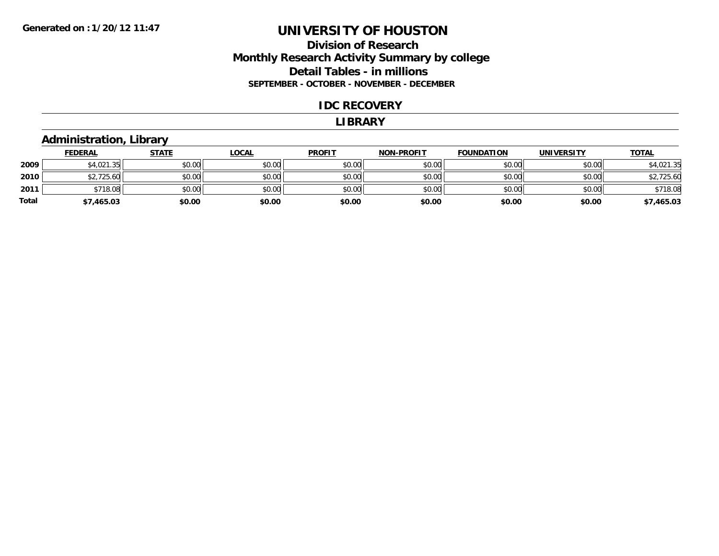## **Division of ResearchMonthly Research Activity Summary by college Detail Tables - in millions SEPTEMBER - OCTOBER - NOVEMBER - DECEMBER**

#### **IDC RECOVERY**

#### **LIBRARY**

## **Administration, Library**

|       | <b>FEDERAL</b> | <u>STATE</u> | <u>LOCAL</u> | <b>PROFIT</b> | <b>NON-PROFIT</b> | <b>FOUNDATION</b> | <b>UNIVERSITY</b> | <u>TOTAL</u> |
|-------|----------------|--------------|--------------|---------------|-------------------|-------------------|-------------------|--------------|
| 2009  | \$4,021.35     | \$0.00       | \$0.00       | \$0.00        | \$0.00            | \$0.00            | \$0.00            | \$4,021.35   |
| 2010  | \$2,725.60     | \$0.00       | \$0.00       | \$0.00        | \$0.00            | \$0.00            | \$0.00            | \$2,725.60   |
| 2011  | \$718.08       | \$0.00       | \$0.00       | \$0.00        | \$0.00            | \$0.00            | \$0.00            | \$718.08     |
| Total | \$7,465.03     | \$0.00       | \$0.00       | \$0.00        | \$0.00            | \$0.00            | \$0.00            | \$7,465.03   |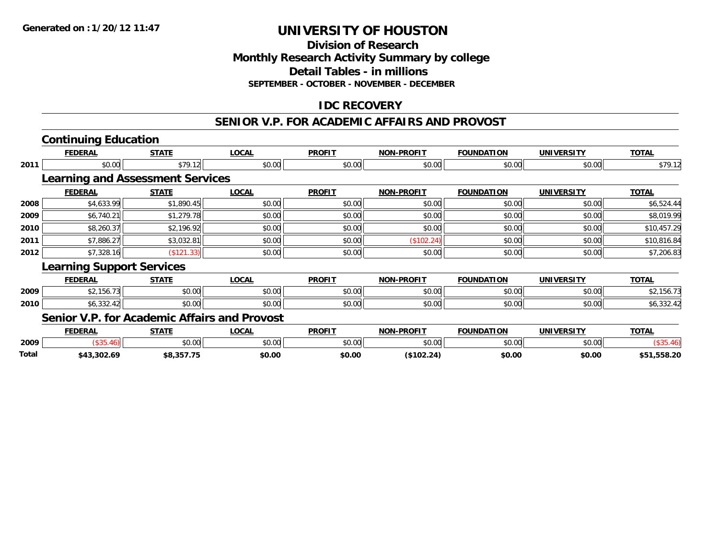## **Division of ResearchMonthly Research Activity Summary by college Detail Tables - in millionsSEPTEMBER - OCTOBER - NOVEMBER - DECEMBER**

## **IDC RECOVERY**

## **SENIOR V.P. FOR ACADEMIC AFFAIRS AND PROVOST**

# **Continuing Education**

|      | <b>FEDERAL</b>                          | <b>STATE</b> | <b>LOCAL</b> | <b>PROFIT</b> | <b>NON-PROFIT</b> | <b>FOUNDATION</b> | <b>UNIVERSITY</b> | <b>TOTAL</b> |
|------|-----------------------------------------|--------------|--------------|---------------|-------------------|-------------------|-------------------|--------------|
| 2011 | \$0.00                                  | \$79.12      | \$0.00       | \$0.00        | \$0.00            | \$0.00            | \$0.00            | \$79.12      |
|      | <b>Learning and Assessment Services</b> |              |              |               |                   |                   |                   |              |
|      | <b>FEDERAL</b>                          | <b>STATE</b> | <b>LOCAL</b> | <b>PROFIT</b> | <b>NON-PROFIT</b> | <b>FOUNDATION</b> | <b>UNIVERSITY</b> | <b>TOTAL</b> |
| 2008 | \$4,633.99                              | \$1,890.45   | \$0.00       | \$0.00        | \$0.00            | \$0.00            | \$0.00            | \$6,524.44   |
| 2009 | \$6,740.21                              | \$1,279.78   | \$0.00       | \$0.00        | \$0.00            | \$0.00            | \$0.00            | \$8,019.99   |
| 2010 | \$8,260.37                              | \$2,196.92   | \$0.00       | \$0.00        | \$0.00            | \$0.00            | \$0.00            | \$10,457.29  |
| 2011 | \$7,886.27                              | \$3,032.81   | \$0.00       | \$0.00        | (\$102.24)        | \$0.00            | \$0.00            | \$10,816.84  |
| 2012 | \$7,328.16                              | (\$121.33)   | \$0.00       | \$0.00        | \$0.00            | \$0.00            | \$0.00            | \$7,206.83   |
|      | <b>Learning Support Services</b>        |              |              |               |                   |                   |                   |              |
|      | <b>FEDERAL</b>                          | <b>STATE</b> | <b>LOCAL</b> | <b>PROFIT</b> | <b>NON-PROFIT</b> | <b>FOUNDATION</b> | <b>UNIVERSITY</b> | <b>TOTAL</b> |
| 2009 | \$2,156.73                              | \$0.00       | \$0.00       | \$0.00        | \$0.00            | \$0.00            | \$0.00            | \$2,156.73   |
| 2010 | \$6,332.42                              | \$0.00       | \$0.00       | \$0.00        | \$0.00            | \$0.00            | \$0.00            | \$6,332.42   |

## **Senior V.P. for Academic Affairs and Provost**

|       | EEDEDAL<br>LNA                            | CTATE          | <b>OCA</b>    | <b>PROFIT</b>                                   | <b>A-PROFIT</b><br>NON | FTAN<br>־^יוווויה. | UNI           | TOTA             |
|-------|-------------------------------------------|----------------|---------------|-------------------------------------------------|------------------------|--------------------|---------------|------------------|
| 2009  |                                           | ልስ ስስ<br>JU.UU | 0000<br>JU.UL | $\mathsf{A}\cap\mathsf{A}\cap\mathsf{A}$<br>JU. | $\sim$ $\sim$<br>יש.ט  | 0000<br>טט.טט      | 0000<br>JU.UU |                  |
| Total | 543.302.69<br>$\rightarrow$ $\rightarrow$ |                | \$0.00        | \$0.00                                          | ЭA<br>.                | \$0.00             | \$0.00        | EEO JA<br>.38.20 |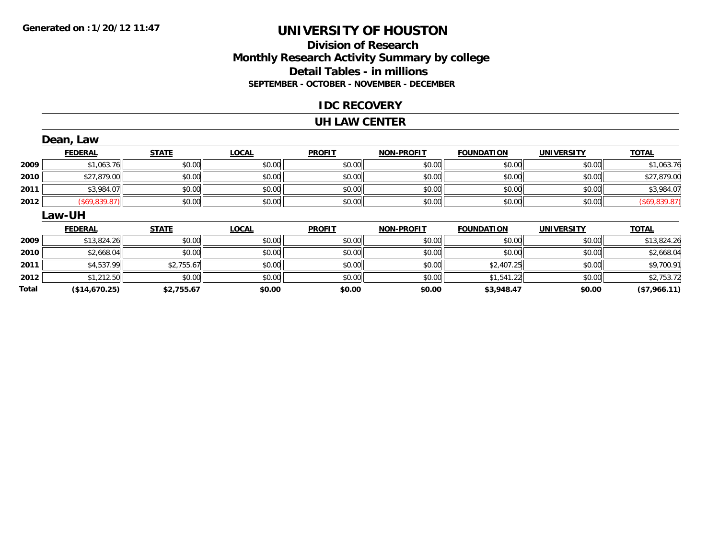**Total**

# **UNIVERSITY OF HOUSTON**

## **Division of ResearchMonthly Research Activity Summary by college Detail Tables - in millions SEPTEMBER - OCTOBER - NOVEMBER - DECEMBER**

#### **IDC RECOVERY**

#### **UH LAW CENTER**

|      | Dean, Law      |              |              |               |                   |                   |                   |               |
|------|----------------|--------------|--------------|---------------|-------------------|-------------------|-------------------|---------------|
|      | <b>FEDERAL</b> | <b>STATE</b> | <b>LOCAL</b> | <b>PROFIT</b> | <b>NON-PROFIT</b> | <b>FOUNDATION</b> | <b>UNIVERSITY</b> | <b>TOTAL</b>  |
| 2009 | \$1,063.76     | \$0.00       | \$0.00       | \$0.00        | \$0.00            | \$0.00            | \$0.00            | \$1,063.76    |
| 2010 | \$27,879.00    | \$0.00       | \$0.00       | \$0.00        | \$0.00            | \$0.00            | \$0.00            | \$27,879.00   |
| 2011 | \$3,984.07     | \$0.00       | \$0.00       | \$0.00        | \$0.00            | \$0.00            | \$0.00            | \$3,984.07    |
| 2012 | (\$69,839.87)  | \$0.00       | \$0.00       | \$0.00        | \$0.00            | \$0.00            | \$0.00            | (\$69,839.87) |
|      | <b>Law-UH</b>  |              |              |               |                   |                   |                   |               |
|      | <b>FEDERAL</b> | <b>STATE</b> | <b>LOCAL</b> | <b>PROFIT</b> | <b>NON-PROFIT</b> | <b>FOUNDATION</b> | <b>UNIVERSITY</b> | <b>TOTAL</b>  |
| 2009 | \$13,824.26    | \$0.00       | \$0.00       | \$0.00        | \$0.00            | \$0.00            | \$0.00            | \$13,824.26   |
| 2010 | \$2,668.04     | \$0.00       | \$0.00       | \$0.00        | \$0.00            | \$0.00            | \$0.00            | \$2,668.04    |
| 2011 | \$4,537.99     | \$2,755.67   | \$0.00       | \$0.00        | \$0.00            | \$2,407.25        | \$0.00            | \$9,700.91    |
| 2012 | \$1,212.50     | \$0.00       | \$0.00       | \$0.00        | \$0.00            | \$1,541.22        | \$0.00            | \$2,753.72    |

**(\$14,670.25) \$2,755.67 \$0.00 \$0.00 \$0.00 \$3,948.47 \$0.00 (\$7,966.11)**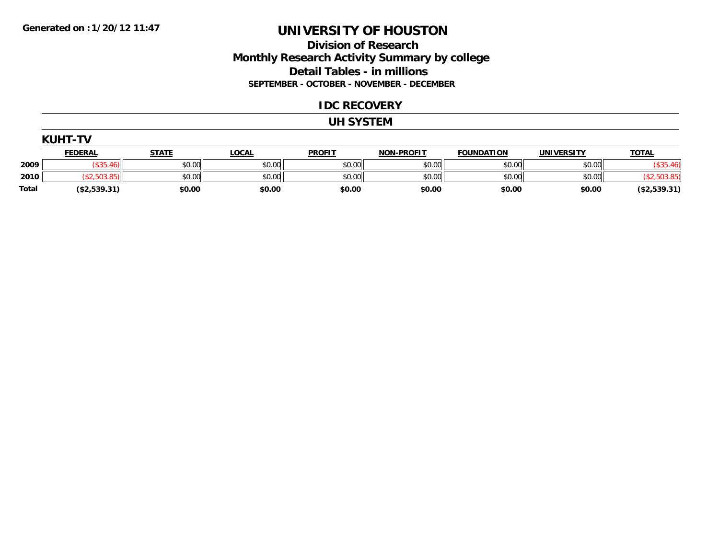### **Division of Research Monthly Research Activity Summary by college Detail Tables - in millions SEPTEMBER - OCTOBER - NOVEMBER - DECEMBER**

#### **IDC RECOVERY**

#### **UH SYSTEM**

|       | <b>KUHT-TV</b>       |              |              |               |                   |                   |                   |               |  |  |  |  |
|-------|----------------------|--------------|--------------|---------------|-------------------|-------------------|-------------------|---------------|--|--|--|--|
|       | <b>FEDERAL</b>       | <b>STATE</b> | <b>LOCAL</b> | <b>PROFIT</b> | <b>NON-PROFIT</b> | <b>FOUNDATION</b> | <b>UNIVERSITY</b> | <b>TOTAL</b>  |  |  |  |  |
| 2009  | $\sim$ $\sim$ $\sim$ | \$0.00       | \$0.00       | \$0.00        | \$0.00            | \$0.00            | \$0.00            | (\$35.46)     |  |  |  |  |
| 2010  | .,503.85             | \$0.00       | \$0.00       | \$0.00        | \$0.00            | \$0.00            | \$0.00            | \$2,503.85    |  |  |  |  |
| Total | ( \$2,539.31)        | \$0.00       | \$0.00       | \$0.00        | \$0.00            | \$0.00            | \$0.00            | ( \$2,539.31) |  |  |  |  |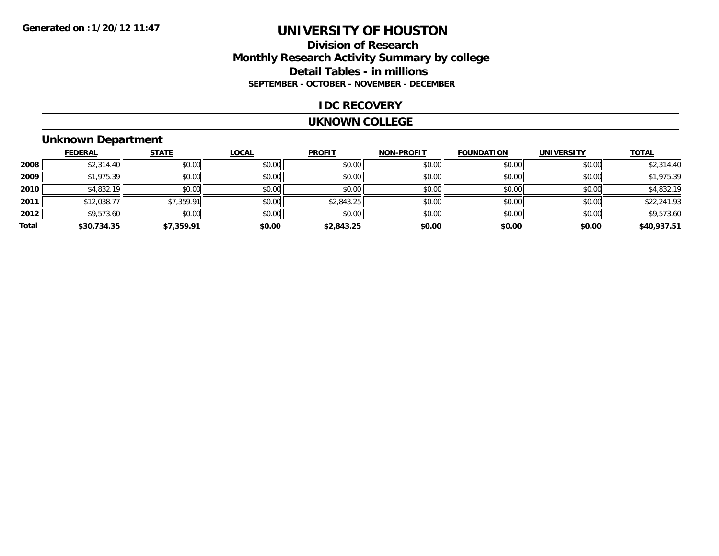## **Division of ResearchMonthly Research Activity Summary by college Detail Tables - in millions SEPTEMBER - OCTOBER - NOVEMBER - DECEMBER**

#### **IDC RECOVERY**

#### **UKNOWN COLLEGE**

## **Unknown Department**

|       | <b>FEDERAL</b> | <b>STATE</b> | <b>LOCAL</b> | <b>PROFIT</b> | <b>NON-PROFIT</b> | <b>FOUNDATION</b> | <b>UNIVERSITY</b> | <b>TOTAL</b> |
|-------|----------------|--------------|--------------|---------------|-------------------|-------------------|-------------------|--------------|
| 2008  | \$2,314.40     | \$0.00       | \$0.00       | \$0.00        | \$0.00            | \$0.00            | \$0.00            | \$2,314.40   |
| 2009  | \$1,975.39     | \$0.00       | \$0.00       | \$0.00        | \$0.00            | \$0.00            | \$0.00            | \$1,975.39   |
| 2010  | \$4,832.19     | \$0.00       | \$0.00       | \$0.00        | \$0.00            | \$0.00            | \$0.00            | \$4,832.19   |
| 2011  | \$12,038.77    | \$7,359.91   | \$0.00       | \$2,843.25    | \$0.00            | \$0.00            | \$0.00            | \$22,241.93  |
| 2012  | \$9,573.60     | \$0.00       | \$0.00       | \$0.00        | \$0.00            | \$0.00            | \$0.00            | \$9,573.60   |
| Total | \$30,734.35    | \$7,359.91   | \$0.00       | \$2,843.25    | \$0.00            | \$0.00            | \$0.00            | \$40,937.51  |